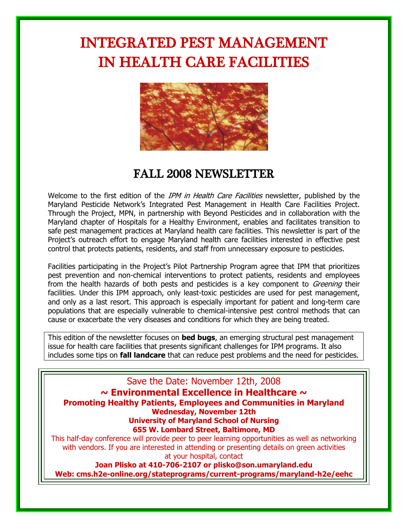# INTEGRATED PEST MANAGEMENT IN HEALTH CARE FACILITIES



## FALL 2008 NEWSLETTER

Welcome to the first edition of the *IPM in Health Care Facilities* newsletter, published by the Maryland Pesticide Network"s Integrated Pest Management in Health Care Facilities Project. Through the Project, MPN, in partnership with Beyond Pesticides and in collaboration with the Maryland chapter of Hospitals for a Healthy Environment, enables and facilitates transition to safe pest management practices at Maryland health care facilities. This newsletter is part of the Project"s outreach effort to engage Maryland health care facilities interested in effective pest control that protects patients, residents, and staff from unnecessary exposure to pesticides.

Facilities participating in the Project's Pilot Partnership Program agree that IPM that prioritizes pest prevention and non-chemical interventions to protect patients, residents and employees from the health hazards of both pests and pesticides is a key component to *Greening* their facilities. Under this IPM approach, only least-toxic pesticides are used for pest management, and only as a last resort. This approach is especially important for patient and long-term care populations that are especially vulnerable to chemical-intensive pest control methods that can cause or exacerbate the very diseases and conditions for which they are being treated.

This edition of the newsletter focuses on **bed bugs**, an emerging structural pest management issue for health care facilities that presents significant challenges for IPM programs. It also includes some tips on **fall landcare** that can reduce pest problems and the need for pesticides.

Save the Date: November 12th, 2008 **~ Environmental Excellence in Healthcare ~ Promoting Healthy Patients, Employees and Communities in Maryland Wednesday, November 12th University of Maryland School of Nursing 655 W. Lombard Street, Baltimore, MD** This half-day conference will provide peer to peer learning opportunities as well as networking with vendors. If you are interested in attending or presenting details on green activities at your hospital, contact

**Joan Plisko at 410-706-2107 or [plisko@son.umaryland.edu](mailto:plisko@son.umaryland.edu) Web: cms.h2e-online.org/stateprograms/current-programs/maryland-h2e/eehc**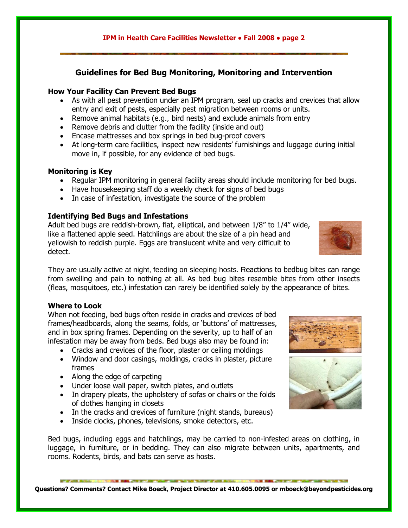#### **IPM in Health Care Facilities Newsletter ● Fall 2008 ● page 2**

### **Guidelines for Bed Bug Monitoring, Monitoring and Intervention**

#### **How Your Facility Can Prevent Bed Bugs**

- As with all pest prevention under an IPM program, seal up cracks and crevices that allow entry and exit of pests, especially pest migration between rooms or units.
- Remove animal habitats (e.g., bird nests) and exclude animals from entry
- Remove debris and clutter from the facility (inside and out)
- Encase mattresses and box springs in bed bug-proof covers
- At long-term care facilities, inspect new residents' furnishings and luggage during initial move in, if possible, for any evidence of bed bugs.

#### **Monitoring is Key**

- Regular IPM monitoring in general facility areas should include monitoring for bed bugs.
- Have housekeeping staff do a weekly check for signs of bed bugs
- In case of infestation, investigate the source of the problem

#### **Identifying Bed Bugs and Infestations**

Adult bed bugs are reddish-brown, flat, elliptical, and between 1/8" to 1/4" wide, like a flattened apple seed. Hatchlings are about the size of a pin head and yellowish to reddish purple. Eggs are translucent white and very difficult to detect.

They are usually active at night, feeding on sleeping hosts. Reactions to bedbug bites can range from swelling and pain to nothing at all. As bed bug bites resemble bites from other insects (fleas, mosquitoes, etc.) infestation can rarely be identified solely by the appearance of bites.

#### **Where to Look**

When not feeding, bed bugs often reside in cracks and crevices of bed frames/headboards, along the seams, folds, or "buttons" of mattresses, and in box spring frames. Depending on the severity, up to half of an infestation may be away from beds. Bed bugs also may be found in:

- Cracks and crevices of the floor, plaster or ceiling moldings
- Window and door casings, moldings, cracks in plaster, picture frames
- Along the edge of carpeting
- Under loose wall paper, switch plates, and outlets
- In drapery pleats, the upholstery of sofas or chairs or the folds of clothes hanging in closets
- In the cracks and crevices of furniture (night stands, bureaus)
- Inside clocks, phones, televisions, smoke detectors, etc.

Bed bugs, including eggs and hatchlings, may be carried to non-infested areas on clothing, in luggage, in furniture, or in bedding. They can also migrate between units, apartments, and rooms. Rodents, birds, and bats can serve as hosts.

**Questions? Comments? Contact Mike Boeck, Project Director at 410.605.0095 or [mboeck@beyondpesticides.org](mailto:mboeck@beyondpesticides.org)**





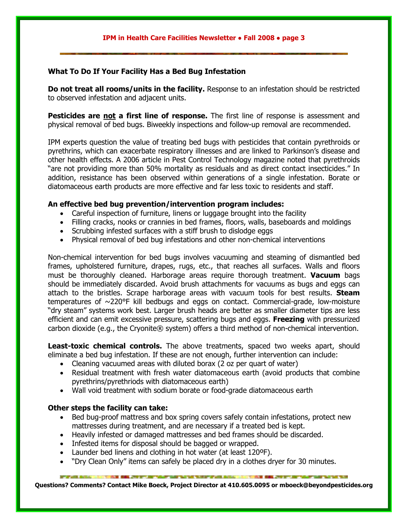#### **IPM in Health Care Facilities Newsletter ● Fall 2008 ● page 3**

### **What To Do If Your Facility Has a Bed Bug Infestation**

**Do not treat all rooms/units in the facility.** Response to an infestation should be restricted to observed infestation and adjacent units.

**Pesticides are not a first line of response.** The first line of response is assessment and physical removal of bed bugs. Biweekly inspections and follow-up removal are recommended.

IPM experts question the value of treating bed bugs with pesticides that contain pyrethroids or pyrethrins, which can exacerbate respiratory illnesses and are linked to Parkinson"s disease and other health effects. A 2006 article in Pest Control Technology magazine noted that pyrethroids "are not providing more than 50% mortality as residuals and as direct contact insecticides." In addition, resistance has been observed within generations of a single infestation. Borate or diatomaceous earth products are more effective and far less toxic to residents and staff.

#### **An effective bed bug prevention/intervention program includes:**

- Careful inspection of furniture, linens or luggage brought into the facility
- Filling cracks, nooks or crannies in bed frames, floors, walls, baseboards and moldings
- Scrubbing infested surfaces with a stiff brush to dislodge eggs
- Physical removal of bed bug infestations and other non-chemical interventions

Non-chemical intervention for bed bugs involves vacuuming and steaming of dismantled bed frames, upholstered furniture, drapes, rugs, etc., that reaches all surfaces. Walls and floors must be thoroughly cleaned. Harborage areas require thorough treatment. **Vacuum** bags should be immediately discarded. Avoid brush attachments for vacuums as bugs and eggs can attach to the bristles. Scrape harborage areas with vacuum tools for best results. **Steam** temperatures of ~220°F kill bedbugs and eggs on contact. Commercial-grade, low-moisture "dry steam" systems work best. Larger brush heads are better as smaller diameter tips are less efficient and can emit excessive pressure, scattering bugs and eggs. **Freezing** with pressurized carbon dioxide (e.g., the Cryonite® system) offers a third method of non-chemical intervention.

**Least-toxic chemical controls.** The above treatments, spaced two weeks apart, should eliminate a bed bug infestation. If these are not enough, further intervention can include:

- Cleaning vacuumed areas with diluted borax (2 oz per quart of water)
- Residual treatment with fresh water diatomaceous earth (avoid products that combine pyrethrins/pyrethriods with diatomaceous earth)
- Wall void treatment with sodium borate or food-grade diatomaceous earth

#### **Other steps the facility can take:**

- Bed bug-proof mattress and box spring covers safely contain infestations, protect new mattresses during treatment, and are necessary if a treated bed is kept.
- Heavily infested or damaged mattresses and bed frames should be discarded.
- Infested items for disposal should be bagged or wrapped.
- Launder bed linens and clothing in hot water (at least 120ºF).
- "Dry Clean Only" items can safely be placed dry in a clothes dryer for 30 minutes.

 **Questions? Comments? Contact Mike Boeck, Project Director at 410.605.0095 o[r mboeck@beyondpesticides.org](mailto:mboeck@beyondpesticides.or)**RY GARAT TALE TANK TANK RETAIL AND A COMMUNIST